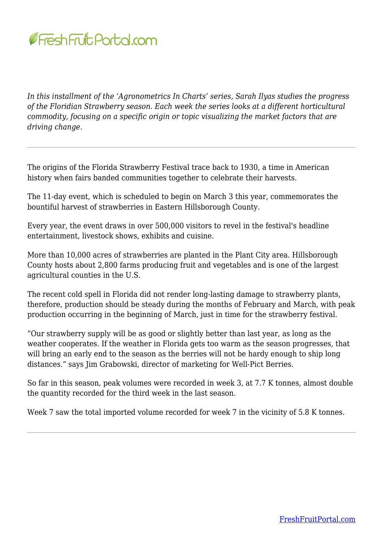

*In this installment of the 'Agronometrics In Charts' series, Sarah Ilyas studies the progress of the Floridian Strawberry season. Each week the series looks at a different horticultural commodity, focusing on a specific origin or topic visualizing the market factors that are driving change.*

The origins of the Florida Strawberry Festival trace back to 1930, a time in American history when fairs banded communities together to celebrate their harvests.

The 11-day event, which is scheduled to begin on March 3 this year, commemorates the bountiful harvest of strawberries in Eastern Hillsborough County.

Every year, the event draws in over 500,000 visitors to revel in the festival's headline entertainment, livestock shows, exhibits and cuisine.

More than 10,000 acres of strawberries are planted in the Plant City area. Hillsborough County hosts about 2,800 farms producing fruit and vegetables and is one of the largest agricultural counties in the U.S.

The recent cold spell in Florida did not render long-lasting damage to strawberry plants, therefore, production should be steady during the months of February and March, with peak production occurring in the beginning of March, just in time for the strawberry festival.

"Our strawberry supply will be as good or slightly better than last year, as long as the weather cooperates. If the weather in Florida gets too warm as the season progresses, that will bring an early end to the season as the berries will not be hardy enough to ship long distances." says Jim Grabowski, director of marketing for Well-Pict Berries.

So far in this season, peak volumes were recorded in week 3, at 7.7 K tonnes, almost double the quantity recorded for the third week in the last season.

Week 7 saw the total imported volume recorded for week 7 in the vicinity of 5.8 K tonnes.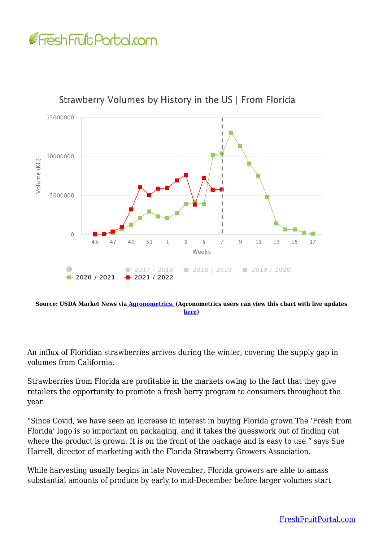



Strawberry Volumes by History in the US | From Florida

**[here\)](https://www.agronometrics.com/system/usda_mv/by_history/?datasource=usda_mv&commodity=16&level=history&measure=volume_sum&year=2022&viewing=7&period=WEEKLY&units=KG&interval=26&origin=21&history=true&season=true)**

An influx of Floridian strawberries arrives during the winter, covering the supply gap in volumes from California.

Strawberries from Florida are profitable in the markets owing to the fact that they give retailers the opportunity to promote a fresh berry program to consumers throughout the year.

"Since Covid, we have seen an increase in interest in buying Florida grown.The 'Fresh from Florida' logo is so important on packaging, and it takes the guesswork out of finding out where the product is grown. It is on the front of the package and is easy to use." says Sue Harrell, director of marketing with the Florida Strawberry Growers Association.

While harvesting usually begins in late November, Florida growers are able to amass substantial amounts of produce by early to mid-December before larger volumes start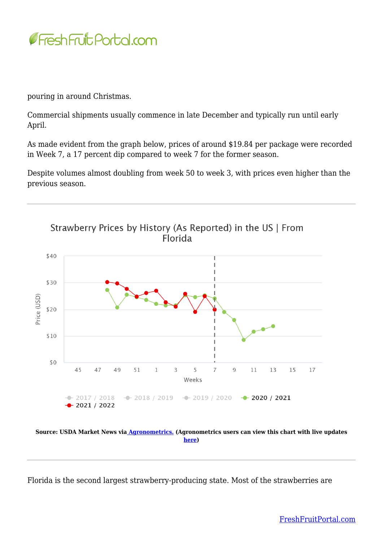

pouring in around Christmas.

Commercial shipments usually commence in late December and typically run until early April.

As made evident from the graph below, prices of around \$19.84 per package were recorded in Week 7, a 17 percent dip compared to week 7 for the former season.

Despite volumes almost doubling from week 50 to week 3, with prices even higher than the previous season.



**Source: USDA Market News vi[a Agronometrics.](https://www.agronometrics.com/) (Agronometrics users can view this chart with live updates [here\)](https://www.agronometrics.com/system/usda_sp/by_history/?datasource=usda_sp&commodity=16&level=history&measure=per_package_price&year=2022&viewing=7&period=WEEKLY&units=KG&interval=26&origin=21&history=true&season=true¤cy=USD)**

Florida is the second largest strawberry-producing state. Most of the strawberries are